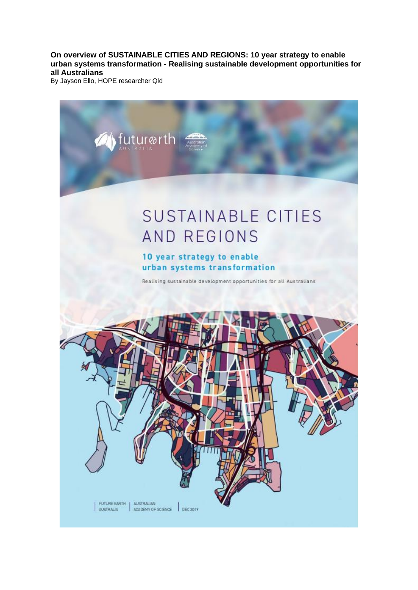**On overview of SUSTAINABLE CITIES AND REGIONS: 10 year strategy to enable urban systems transformation - Realising sustainable development opportunities for all Australians**

By Jayson Ello, HOPE researcher Qld

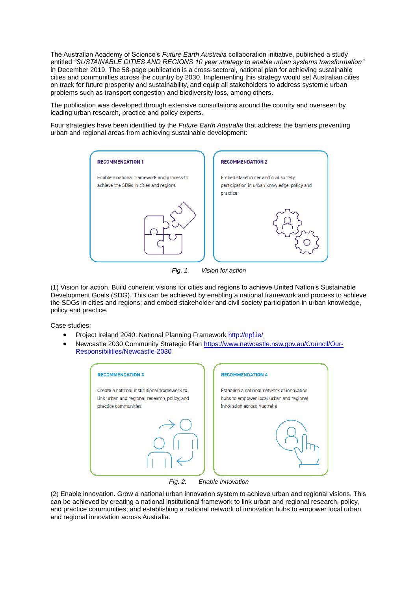The Australian Academy of Science's *Future Earth Australia* collaboration initiative, published a study entitled *"SUSTAINABLE CITIES AND REGIONS 10 year strategy to enable urban systems transformation"* in December 2019. The 58-page publication is a cross-sectoral, national plan for achieving sustainable cities and communities across the country by 2030. Implementing this strategy would set Australian cities on track for future prosperity and sustainability, and equip all stakeholders to address systemic urban problems such as transport congestion and biodiversity loss, among others.

The publication was developed through extensive consultations around the country and overseen by leading urban research, practice and policy experts.

Four strategies have been identified by the *Future Earth Australia* that address the barriers preventing urban and regional areas from achieving sustainable development:



*Fig. 1. Vision for action*

(1) Vision for action. Build coherent visions for cities and regions to achieve United Nation's Sustainable Development Goals (SDG). This can be achieved by enabling a national framework and process to achieve the SDGs in cities and regions; and embed stakeholder and civil society participation in urban knowledge, policy and practice.

Case studies:

- Project Ireland 2040: National Planning Framework<http://npf.ie/>
- Newcastle 2030 Community Strategic Plan [https://www.newcastle.nsw.gov.au/Council/Our-](https://www.newcastle.nsw.gov.au/Council/Our-Responsibilities/Newcastle-2030)[Responsibilities/Newcastle-2030](https://www.newcastle.nsw.gov.au/Council/Our-Responsibilities/Newcastle-2030)

| <b>RECOMMENDATION 3</b>                                                                                               | <b>RECOMMENDATION 4</b>                                                                                               |
|-----------------------------------------------------------------------------------------------------------------------|-----------------------------------------------------------------------------------------------------------------------|
| Create a national institutional framework to<br>link urban and regional research, policy, and<br>practice communities | Establish a national network of innovation<br>hubs to empower local urban and regional<br>innovation across Australia |
|                                                                                                                       |                                                                                                                       |

*Fig. 2. Enable innovation*

(2) Enable innovation. Grow a national urban innovation system to achieve urban and regional visions. This can be achieved by creating a national institutional framework to link urban and regional research, policy, and practice communities; and establishing a national network of innovation hubs to empower local urban and regional innovation across Australia.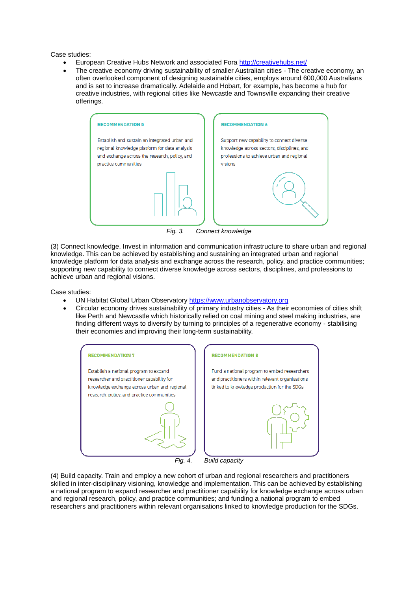Case studies:

- European Creative Hubs Network and associated Fora<http://creativehubs.net/>
- The creative economy driving sustainability of smaller Australian cities The creative economy, an often overlooked component of designing sustainable cities, employs around 600,000 Australians and is set to increase dramatically. Adelaide and Hobart, for example, has become a hub for creative industries, with regional cities like Newcastle and Townsville expanding their creative offerings.



(3) Connect knowledge. Invest in information and communication infrastructure to share urban and regional knowledge. This can be achieved by establishing and sustaining an integrated urban and regional knowledge platform for data analysis and exchange across the research, policy, and practice communities; supporting new capability to connect diverse knowledge across sectors, disciplines, and professions to achieve urban and regional visions.

Case studies:

- UN Habitat Global Urban Observatory [https://www.urbanobservatory.org](https://www.urbanobservatory.org/)
- Circular economy drives sustainability of primary industry cities As their economies of cities shift like Perth and Newcastle which historically relied on coal mining and steel making industries, are finding different ways to diversify by turning to principles of a regenerative economy - stabilising their economies and improving their long-term sustainability.



*Fig. 4. Build capacity*

(4) Build capacity. Train and employ a new cohort of urban and regional researchers and practitioners skilled in inter-disciplinary visioning, knowledge and implementation. This can be achieved by establishing a national program to expand researcher and practitioner capability for knowledge exchange across urban and regional research, policy, and practice communities; and funding a national program to embed researchers and practitioners within relevant organisations linked to knowledge production for the SDGs.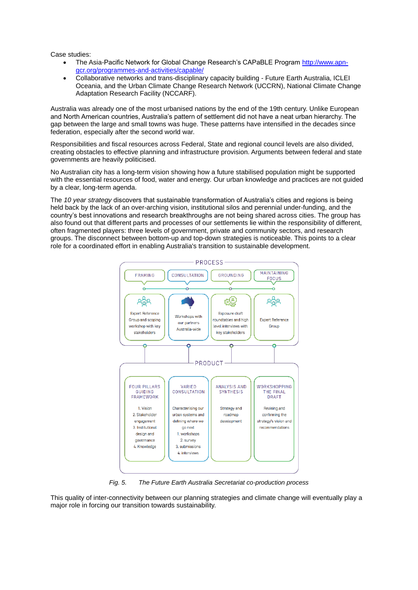Case studies:

- The Asia-Pacific Network for Global Change Research's CAPaBLE Program [http://www.apn](http://www.apn-gcr.org/programmes-and-activities/capable/)[gcr.org/programmes-and-activities/capable/](http://www.apn-gcr.org/programmes-and-activities/capable/)
- Collaborative networks and trans-disciplinary capacity building Future Earth Australia, ICLEI Oceania, and the Urban Climate Change Research Network (UCCRN), National Climate Change Adaptation Research Facility (NCCARF).

Australia was already one of the most urbanised nations by the end of the 19th century. Unlike European and North American countries, Australia's pattern of settlement did not have a neat urban hierarchy. The gap between the large and small towns was huge. These patterns have intensified in the decades since federation, especially after the second world war.

Responsibilities and fiscal resources across Federal, State and regional council levels are also divided, creating obstacles to effective planning and infrastructure provision. Arguments between federal and state governments are heavily politicised.

No Australian city has a long-term vision showing how a future stabilised population might be supported with the essential resources of food, water and energy. Our urban knowledge and practices are not guided by a clear, long-term agenda.

The *10 year strategy* discovers that sustainable transformation of Australia's cities and regions is being held back by the lack of an over-arching vision, institutional silos and perennial under-funding, and the country's best innovations and research breakthroughs are not being shared across cities. The group has also found out that different parts and processes of our settlements lie within the responsibility of different, often fragmented players: three levels of government, private and community sectors, and research groups. The disconnect between bottom-up and top-down strategies is noticeable. This points to a clear role for a coordinated effort in enabling Australia's transition to sustainable development.



*Fig. 5. The Future Earth Australia Secretariat co-production process*

This quality of inter-connectivity between our planning strategies and climate change will eventually play a major role in forcing our transition towards sustainability.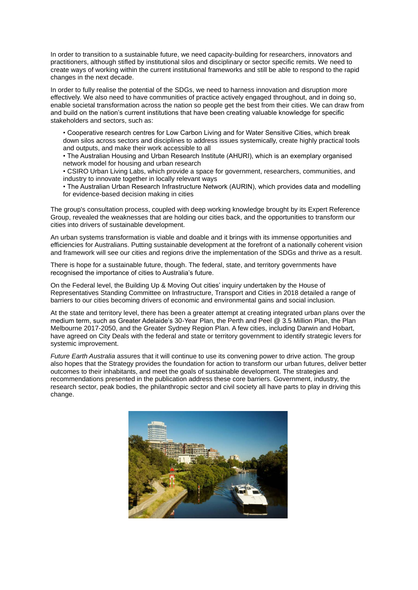In order to transition to a sustainable future, we need capacity-building for researchers, innovators and practitioners, although stifled by institutional silos and disciplinary or sector specific remits. We need to create ways of working within the current institutional frameworks and still be able to respond to the rapid changes in the next decade.

In order to fully realise the potential of the SDGs, we need to harness innovation and disruption more effectively. We also need to have communities of practice actively engaged throughout, and in doing so, enable societal transformation across the nation so people get the best from their cities. We can draw from and build on the nation's current institutions that have been creating valuable knowledge for specific stakeholders and sectors, such as:

• Cooperative research centres for Low Carbon Living and for Water Sensitive Cities, which break down silos across sectors and disciplines to address issues systemically, create highly practical tools and outputs, and make their work accessible to all

• The Australian Housing and Urban Research Institute (AHURI), which is an exemplary organised network model for housing and urban research

• CSIRO Urban Living Labs, which provide a space for government, researchers, communities, and industry to innovate together in locally relevant ways

• The Australian Urban Research Infrastructure Network (AURIN), which provides data and modelling for evidence-based decision making in cities

The group's consultation process, coupled with deep working knowledge brought by its Expert Reference Group, revealed the weaknesses that are holding our cities back, and the opportunities to transform our cities into drivers of sustainable development.

An urban systems transformation is viable and doable and it brings with its immense opportunities and efficiencies for Australians. Putting sustainable development at the forefront of a nationally coherent vision and framework will see our cities and regions drive the implementation of the SDGs and thrive as a result.

There is hope for a sustainable future, though. The federal, state, and territory governments have recognised the importance of cities to Australia's future.

On the Federal level, the Building Up & Moving Out cities' inquiry undertaken by the House of Representatives Standing Committee on Infrastructure, Transport and Cities in 2018 detailed a range of barriers to our cities becoming drivers of economic and environmental gains and social inclusion.

At the state and territory level, there has been a greater attempt at creating integrated urban plans over the medium term, such as Greater Adelaide's 30-Year Plan, the Perth and Peel @ 3.5 Million Plan, the Plan Melbourne 2017-2050, and the Greater Sydney Region Plan. A few cities, including Darwin and Hobart, have agreed on City Deals with the federal and state or territory government to identify strategic levers for systemic improvement.

*Future Earth Australia* assures that it will continue to use its convening power to drive action. The group also hopes that the Strategy provides the foundation for action to transform our urban futures, deliver better outcomes to their inhabitants, and meet the goals of sustainable development. The strategies and recommendations presented in the publication address these core barriers. Government, industry, the research sector, peak bodies, the philanthropic sector and civil society all have parts to play in driving this change.